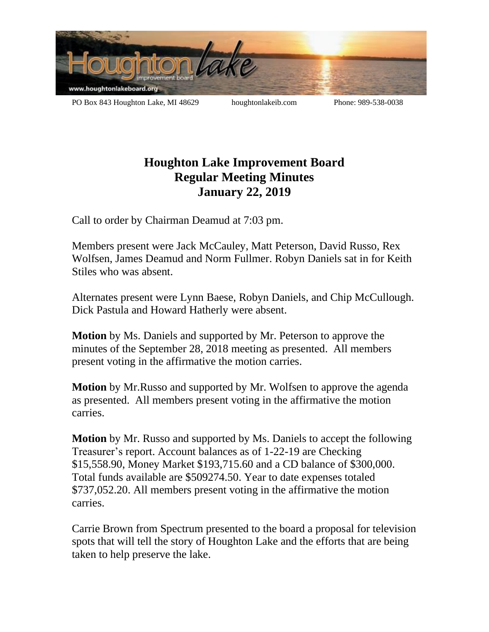

PO Box 843 Houghton Lake, MI 48629 houghtonlakeib.com Phone: 989-538-0038

## **Houghton Lake Improvement Board Regular Meeting Minutes January 22, 2019**

Call to order by Chairman Deamud at 7:03 pm.

Members present were Jack McCauley, Matt Peterson, David Russo, Rex Wolfsen, James Deamud and Norm Fullmer. Robyn Daniels sat in for Keith Stiles who was absent.

Alternates present were Lynn Baese, Robyn Daniels, and Chip McCullough. Dick Pastula and Howard Hatherly were absent.

**Motion** by Ms. Daniels and supported by Mr. Peterson to approve the minutes of the September 28, 2018 meeting as presented. All members present voting in the affirmative the motion carries.

**Motion** by Mr.Russo and supported by Mr. Wolfsen to approve the agenda as presented. All members present voting in the affirmative the motion carries.

**Motion** by Mr. Russo and supported by Ms. Daniels to accept the following Treasurer's report. Account balances as of 1-22-19 are Checking \$15,558.90, Money Market \$193,715.60 and a CD balance of \$300,000. Total funds available are \$509274.50. Year to date expenses totaled \$737,052.20. All members present voting in the affirmative the motion carries.

Carrie Brown from Spectrum presented to the board a proposal for television spots that will tell the story of Houghton Lake and the efforts that are being taken to help preserve the lake.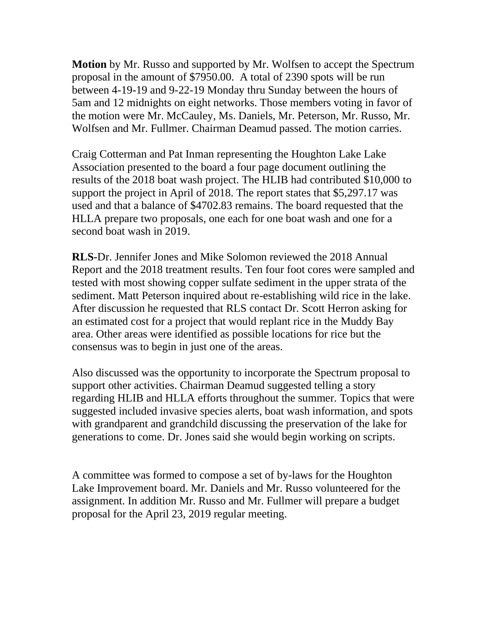**Motion** by Mr. Russo and supported by Mr. Wolfsen to accept the Spectrum proposal in the amount of \$7950.00. A total of 2390 spots will be run between 4-19-19 and 9-22-19 Monday thru Sunday between the hours of 5am and 12 midnights on eight networks. Those members voting in favor of the motion were Mr. McCauley, Ms. Daniels, Mr. Peterson, Mr. Russo, Mr. Wolfsen and Mr. Fullmer. Chairman Deamud passed. The motion carries.

Craig Cotterman and Pat Inman representing the Houghton Lake Lake Association presented to the board a four page document outlining the results of the 2018 boat wash project. The HLIB had contributed \$10,000 to support the project in April of 2018. The report states that \$5,297.17 was used and that a balance of \$4702.83 remains. The board requested that the HLLA prepare two proposals, one each for one boat wash and one for a second boat wash in 2019.

**RLS-**Dr. Jennifer Jones and Mike Solomon reviewed the 2018 Annual Report and the 2018 treatment results. Ten four foot cores were sampled and tested with most showing copper sulfate sediment in the upper strata of the sediment. Matt Peterson inquired about re-establishing wild rice in the lake. After discussion he requested that RLS contact Dr. Scott Herron asking for an estimated cost for a project that would replant rice in the Muddy Bay area. Other areas were identified as possible locations for rice but the consensus was to begin in just one of the areas.

Also discussed was the opportunity to incorporate the Spectrum proposal to support other activities. Chairman Deamud suggested telling a story regarding HLIB and HLLA efforts throughout the summer. Topics that were suggested included invasive species alerts, boat wash information, and spots with grandparent and grandchild discussing the preservation of the lake for generations to come. Dr. Jones said she would begin working on scripts.

A committee was formed to compose a set of by-laws for the Houghton Lake Improvement board. Mr. Daniels and Mr. Russo volunteered for the assignment. In addition Mr. Russo and Mr. Fullmer will prepare a budget proposal for the April 23, 2019 regular meeting.